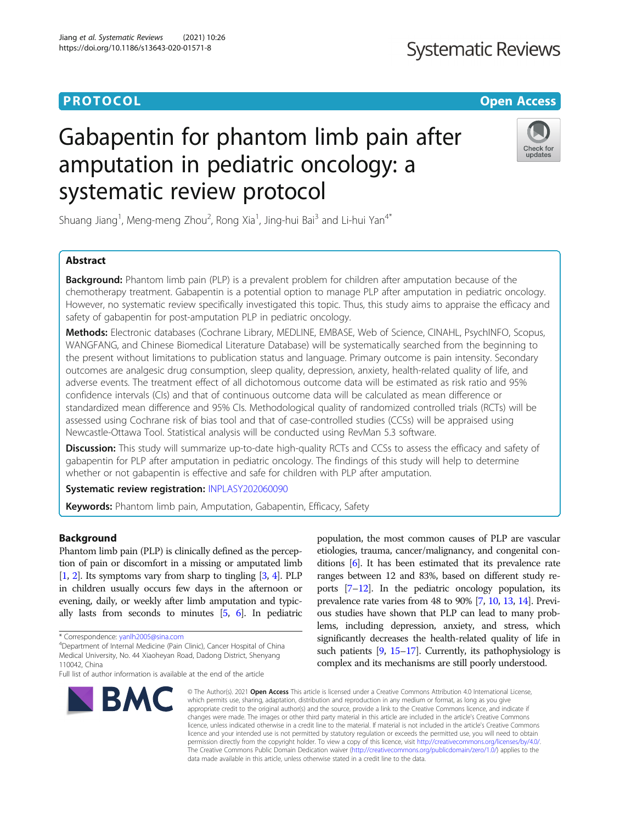### **PROTOCOL CONSUMING THE OPEN ACCESS**

## **Systematic Reviews**

# Gabapentin for phantom limb pain after amputation in pediatric oncology: a systematic review protocol



Shuang Jiang<sup>1</sup>, Meng-meng Zhou<sup>2</sup>, Rong Xia<sup>1</sup>, Jing-hui Bai<sup>3</sup> and Li-hui Yan<sup>4\*</sup>

#### Abstract

**Background:** Phantom limb pain (PLP) is a prevalent problem for children after amputation because of the chemotherapy treatment. Gabapentin is a potential option to manage PLP after amputation in pediatric oncology. However, no systematic review specifically investigated this topic. Thus, this study aims to appraise the efficacy and safety of gabapentin for post-amputation PLP in pediatric oncology.

Methods: Electronic databases (Cochrane Library, MEDLINE, EMBASE, Web of Science, CINAHL, PsychINFO, Scopus, WANGFANG, and Chinese Biomedical Literature Database) will be systematically searched from the beginning to the present without limitations to publication status and language. Primary outcome is pain intensity. Secondary outcomes are analgesic drug consumption, sleep quality, depression, anxiety, health-related quality of life, and adverse events. The treatment effect of all dichotomous outcome data will be estimated as risk ratio and 95% confidence intervals (CIs) and that of continuous outcome data will be calculated as mean difference or standardized mean difference and 95% CIs. Methodological quality of randomized controlled trials (RCTs) will be assessed using Cochrane risk of bias tool and that of case-controlled studies (CCSs) will be appraised using Newcastle-Ottawa Tool. Statistical analysis will be conducted using RevMan 5.3 software.

Discussion: This study will summarize up-to-date high-quality RCTs and CCSs to assess the efficacy and safety of gabapentin for PLP after amputation in pediatric oncology. The findings of this study will help to determine whether or not gabapentin is effective and safe for children with PLP after amputation.

Systematic review registration: [INPLASY202060090](https://inplasy.com/inplasy-2020-6-0090/)

**Keywords:** Phantom limb pain, Amputation, Gabapentin, Efficacy, Safety

#### Background

Phantom limb pain (PLP) is clinically defined as the perception of pain or discomfort in a missing or amputated limb [[1](#page-4-0), [2](#page-4-0)]. Its symptoms vary from sharp to tingling [[3](#page-4-0), [4](#page-4-0)]. PLP in children usually occurs few days in the afternoon or evening, daily, or weekly after limb amputation and typically lasts from seconds to minutes [\[5,](#page-4-0) [6](#page-4-0)]. In pediatric

<sup>4</sup>Department of Internal Medicine (Pain Clinic), Cancer Hospital of China Medical University, No. 44 Xiaoheyan Road, Dadong District, Shenyang 110042, China

Full list of author information is available at the end of the article



population, the most common causes of PLP are vascular etiologies, trauma, cancer/malignancy, and congenital conditions [[6](#page-4-0)]. It has been estimated that its prevalence rate ranges between 12 and 83%, based on different study reports [\[7](#page-4-0)–[12\]](#page-4-0). In the pediatric oncology population, its prevalence rate varies from 48 to 90% [[7](#page-4-0), [10,](#page-4-0) [13](#page-4-0), [14](#page-4-0)]. Previous studies have shown that PLP can lead to many problems, including depression, anxiety, and stress, which significantly decreases the health-related quality of life in such patients [\[9](#page-4-0), [15](#page-4-0)–[17\]](#page-4-0). Currently, its pathophysiology is complex and its mechanisms are still poorly understood.

© The Author(s), 2021 **Open Access** This article is licensed under a Creative Commons Attribution 4.0 International License, which permits use, sharing, adaptation, distribution and reproduction in any medium or format, as long as you give appropriate credit to the original author(s) and the source, provide a link to the Creative Commons licence, and indicate if changes were made. The images or other third party material in this article are included in the article's Creative Commons licence, unless indicated otherwise in a credit line to the material. If material is not included in the article's Creative Commons licence and your intended use is not permitted by statutory regulation or exceeds the permitted use, you will need to obtain permission directly from the copyright holder. To view a copy of this licence, visit [http://creativecommons.org/licenses/by/4.0/.](http://creativecommons.org/licenses/by/4.0/) The Creative Commons Public Domain Dedication waiver [\(http://creativecommons.org/publicdomain/zero/1.0/](http://creativecommons.org/publicdomain/zero/1.0/)) applies to the data made available in this article, unless otherwise stated in a credit line to the data.

<sup>\*</sup> Correspondence: [yanlh2005@sina.com](mailto:yanlh2005@sina.com) <sup>4</sup>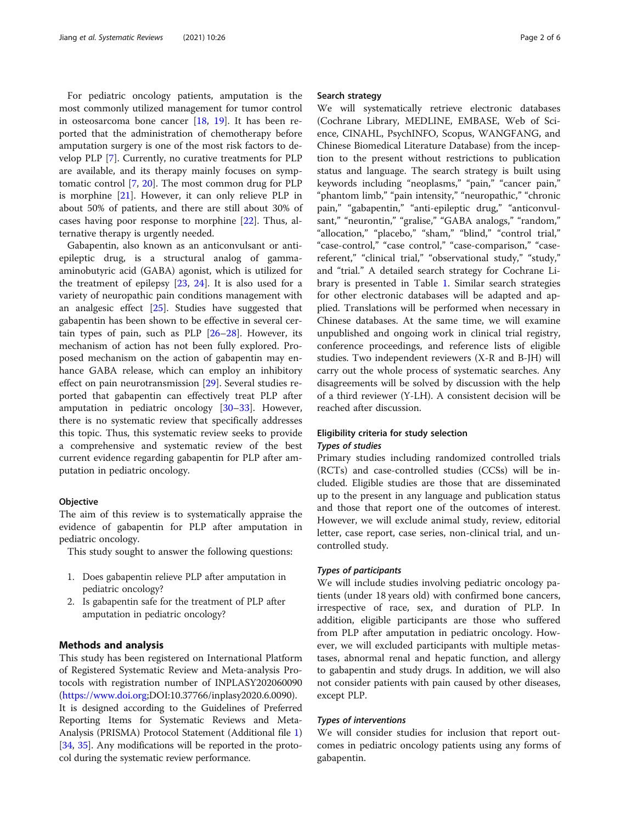For pediatric oncology patients, amputation is the most commonly utilized management for tumor control in osteosarcoma bone cancer [[18,](#page-4-0) [19](#page-4-0)]. It has been reported that the administration of chemotherapy before amputation surgery is one of the most risk factors to develop PLP [[7\]](#page-4-0). Currently, no curative treatments for PLP are available, and its therapy mainly focuses on symptomatic control [[7](#page-4-0), [20](#page-4-0)]. The most common drug for PLP is morphine [\[21](#page-4-0)]. However, it can only relieve PLP in about 50% of patients, and there are still about 30% of cases having poor response to morphine [[22\]](#page-4-0). Thus, alternative therapy is urgently needed.

Gabapentin, also known as an anticonvulsant or antiepileptic drug, is a structural analog of gammaaminobutyric acid (GABA) agonist, which is utilized for the treatment of epilepsy [\[23](#page-4-0), [24](#page-4-0)]. It is also used for a variety of neuropathic pain conditions management with an analgesic effect [[25\]](#page-4-0). Studies have suggested that gabapentin has been shown to be effective in several certain types of pain, such as PLP  $[26-28]$  $[26-28]$  $[26-28]$  $[26-28]$  $[26-28]$ . However, its mechanism of action has not been fully explored. Proposed mechanism on the action of gabapentin may enhance GABA release, which can employ an inhibitory effect on pain neurotransmission [[29](#page-4-0)]. Several studies reported that gabapentin can effectively treat PLP after amputation in pediatric oncology [\[30](#page-4-0)–[33\]](#page-4-0). However, there is no systematic review that specifically addresses this topic. Thus, this systematic review seeks to provide a comprehensive and systematic review of the best current evidence regarding gabapentin for PLP after amputation in pediatric oncology.

#### **Objective**

The aim of this review is to systematically appraise the evidence of gabapentin for PLP after amputation in pediatric oncology.

This study sought to answer the following questions:

- 1. Does gabapentin relieve PLP after amputation in pediatric oncology?
- 2. Is gabapentin safe for the treatment of PLP after amputation in pediatric oncology?

#### Methods and analysis

This study has been registered on International Platform of Registered Systematic Review and Meta-analysis Protocols with registration number of INPLASY202060090 ([https://www.doi.org](https://www.doi.org/);DOI:10.37766/inplasy2020.6.0090). It is designed according to the Guidelines of Preferred Reporting Items for Systematic Reviews and Meta-Analysis (PRISMA) Protocol Statement (Additional file [1](#page-3-0)) [[34](#page-4-0), [35](#page-4-0)]. Any modifications will be reported in the protocol during the systematic review performance.

#### Search strategy

We will systematically retrieve electronic databases (Cochrane Library, MEDLINE, EMBASE, Web of Science, CINAHL, PsychINFO, Scopus, WANGFANG, and Chinese Biomedical Literature Database) from the inception to the present without restrictions to publication status and language. The search strategy is built using keywords including "neoplasms," "pain," "cancer pain," "phantom limb," "pain intensity," "neuropathic," "chronic pain," "gabapentin," "anti-epileptic drug," "anticonvulsant," "neurontin," "gralise," "GABA analogs," "random," "allocation," "placebo," "sham," "blind," "control trial," "case-control," "case control," "case-comparison," "casereferent," "clinical trial," "observational study," "study," and "trial." A detailed search strategy for Cochrane Library is presented in Table [1](#page-2-0). Similar search strategies for other electronic databases will be adapted and applied. Translations will be performed when necessary in Chinese databases. At the same time, we will examine unpublished and ongoing work in clinical trial registry, conference proceedings, and reference lists of eligible studies. Two independent reviewers (X-R and B-JH) will carry out the whole process of systematic searches. Any disagreements will be solved by discussion with the help of a third reviewer (Y-LH). A consistent decision will be reached after discussion.

#### Eligibility criteria for study selection Types of studies

Primary studies including randomized controlled trials (RCTs) and case-controlled studies (CCSs) will be included. Eligible studies are those that are disseminated up to the present in any language and publication status and those that report one of the outcomes of interest. However, we will exclude animal study, review, editorial letter, case report, case series, non-clinical trial, and uncontrolled study.

#### Types of participants

We will include studies involving pediatric oncology patients (under 18 years old) with confirmed bone cancers, irrespective of race, sex, and duration of PLP. In addition, eligible participants are those who suffered from PLP after amputation in pediatric oncology. However, we will excluded participants with multiple metastases, abnormal renal and hepatic function, and allergy to gabapentin and study drugs. In addition, we will also not consider patients with pain caused by other diseases, except PLP.

#### Types of interventions

We will consider studies for inclusion that report outcomes in pediatric oncology patients using any forms of gabapentin.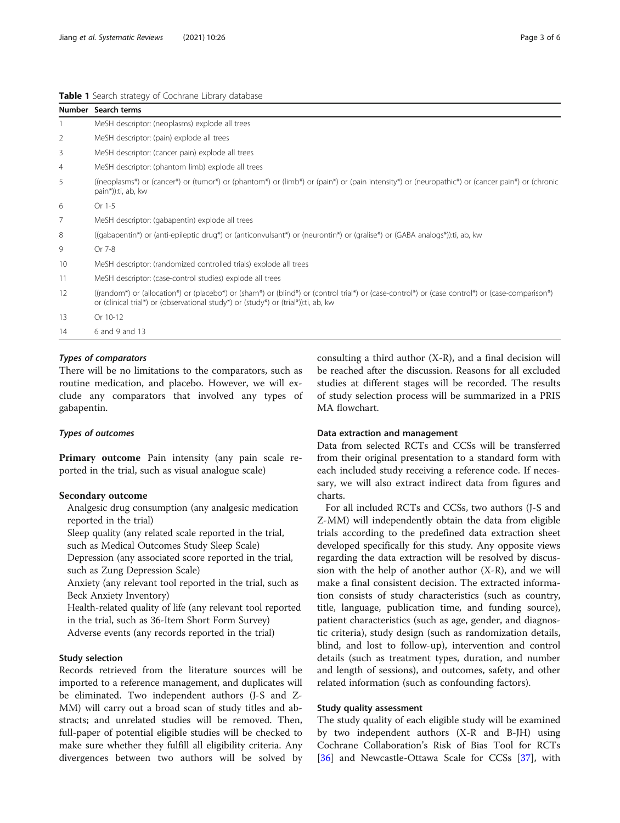#### <span id="page-2-0"></span>Table 1 Search strategy of Cochrane Library database

|                | Number Search terms                                                                                                                                                                                                                    |
|----------------|----------------------------------------------------------------------------------------------------------------------------------------------------------------------------------------------------------------------------------------|
| $\mathbf{1}$   | MeSH descriptor: (neoplasms) explode all trees                                                                                                                                                                                         |
| 2              | MeSH descriptor: (pain) explode all trees                                                                                                                                                                                              |
| 3              | MeSH descriptor: (cancer pain) explode all trees                                                                                                                                                                                       |
| 4              | MeSH descriptor: (phantom limb) explode all trees                                                                                                                                                                                      |
| 5              | ((neoplasms*) or (cancer*) or (tumor*) or (phantom*) or (limb*) or (pain*) or (pain intensity*) or (neuropathic*) or (cancer pain*) or (chronic<br>pain*)):ti, ab, kw                                                                  |
| 6              | Or 1-5                                                                                                                                                                                                                                 |
| $\overline{7}$ | MeSH descriptor: (gabapentin) explode all trees                                                                                                                                                                                        |
| 8              | ((gabapentin*) or (anti-epileptic drug*) or (anticonvulsant*) or (neurontin*) or (gralise*) or (GABA analogs*)):ti, ab, kw                                                                                                             |
| 9              | Or 7-8                                                                                                                                                                                                                                 |
| 10             | MeSH descriptor: (randomized controlled trials) explode all trees                                                                                                                                                                      |
| 11             | MeSH descriptor: (case-control studies) explode all trees                                                                                                                                                                              |
| 12             | ((random*) or (allocation*) or (placebo*) or (sham*) or (blind*) or (control trial*) or (case-control*) or (case control*) or (case-comparison*)<br>or (clinical trial*) or (observational study*) or (study*) or (trial*)):ti, ab, kw |
| 13             | Or 10-12                                                                                                                                                                                                                               |
| 14             | 6 and 9 and 13                                                                                                                                                                                                                         |

#### Types of comparators

There will be no limitations to the comparators, such as routine medication, and placebo. However, we will exclude any comparators that involved any types of gabapentin.

#### Types of outcomes

Primary outcome Pain intensity (any pain scale reported in the trial, such as visual analogue scale)

#### Secondary outcome

Analgesic drug consumption (any analgesic medication reported in the trial)

Sleep quality (any related scale reported in the trial, such as Medical Outcomes Study Sleep Scale)

Depression (any associated score reported in the trial, such as Zung Depression Scale)

Anxiety (any relevant tool reported in the trial, such as Beck Anxiety Inventory)

Health-related quality of life (any relevant tool reported in the trial, such as 36-Item Short Form Survey)

Adverse events (any records reported in the trial)

#### Study selection

Records retrieved from the literature sources will be imported to a reference management, and duplicates will be eliminated. Two independent authors (J-S and Z-MM) will carry out a broad scan of study titles and abstracts; and unrelated studies will be removed. Then, full-paper of potential eligible studies will be checked to make sure whether they fulfill all eligibility criteria. Any divergences between two authors will be solved by consulting a third author (X-R), and a final decision will be reached after the discussion. Reasons for all excluded studies at different stages will be recorded. The results of study selection process will be summarized in a PRIS MA flowchart.

#### Data extraction and management

Data from selected RCTs and CCSs will be transferred from their original presentation to a standard form with each included study receiving a reference code. If necessary, we will also extract indirect data from figures and charts.

For all included RCTs and CCSs, two authors (J-S and Z-MM) will independently obtain the data from eligible trials according to the predefined data extraction sheet developed specifically for this study. Any opposite views regarding the data extraction will be resolved by discussion with the help of another author (X-R), and we will make a final consistent decision. The extracted information consists of study characteristics (such as country, title, language, publication time, and funding source), patient characteristics (such as age, gender, and diagnostic criteria), study design (such as randomization details, blind, and lost to follow-up), intervention and control details (such as treatment types, duration, and number and length of sessions), and outcomes, safety, and other related information (such as confounding factors).

#### Study quality assessment

The study quality of each eligible study will be examined by two independent authors (X-R and B-JH) using Cochrane Collaboration's Risk of Bias Tool for RCTs [[36\]](#page-5-0) and Newcastle-Ottawa Scale for CCSs [\[37](#page-5-0)], with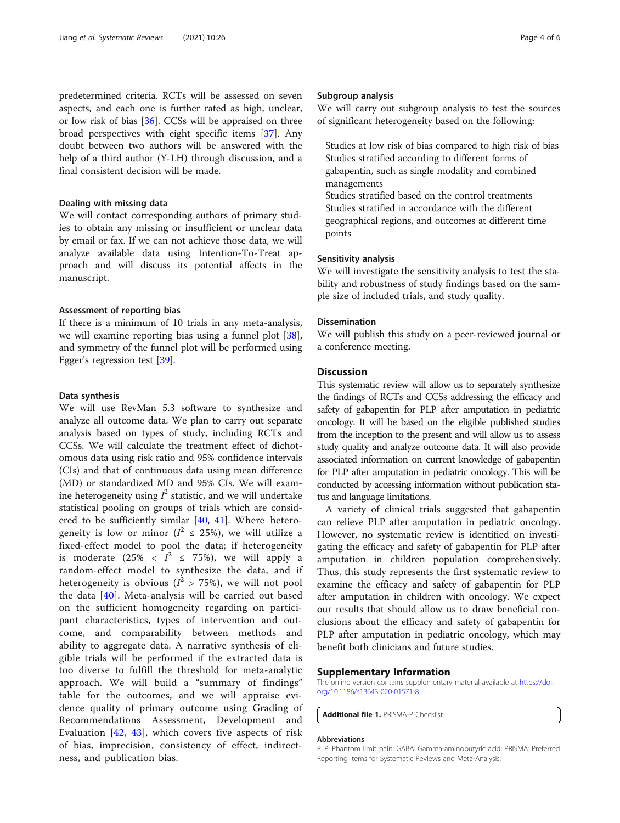<span id="page-3-0"></span>predetermined criteria. RCTs will be assessed on seven aspects, and each one is further rated as high, unclear, or low risk of bias [[36\]](#page-5-0). CCSs will be appraised on three broad perspectives with eight specific items [[37](#page-5-0)]. Any doubt between two authors will be answered with the help of a third author (Y-LH) through discussion, and a final consistent decision will be made.

#### Dealing with missing data

We will contact corresponding authors of primary studies to obtain any missing or insufficient or unclear data by email or fax. If we can not achieve those data, we will analyze available data using Intention-To-Treat approach and will discuss its potential affects in the manuscript.

#### Assessment of reporting bias

If there is a minimum of 10 trials in any meta-analysis, we will examine reporting bias using a funnel plot [\[38](#page-5-0)], and symmetry of the funnel plot will be performed using Egger's regression test [\[39](#page-5-0)].

#### Data synthesis

We will use RevMan 5.3 software to synthesize and analyze all outcome data. We plan to carry out separate analysis based on types of study, including RCTs and CCSs. We will calculate the treatment effect of dichotomous data using risk ratio and 95% confidence intervals (CIs) and that of continuous data using mean difference (MD) or standardized MD and 95% CIs. We will examine heterogeneity using  $I^2$  statistic, and we will undertake statistical pooling on groups of trials which are considered to be sufficiently similar [[40](#page-5-0), [41\]](#page-5-0). Where heterogeneity is low or minor ( $I^2 \le 25\%$ ), we will utilize a fixed-effect model to pool the data; if heterogeneity is moderate  $(25\% \lt I^2 \le 75\%)$ , we will apply a random-effect model to synthesize the data, and if heterogeneity is obvious  $(l^2 > 75\%)$ , we will not pool the data [\[40\]](#page-5-0). Meta-analysis will be carried out based on the sufficient homogeneity regarding on participant characteristics, types of intervention and outcome, and comparability between methods and ability to aggregate data. A narrative synthesis of eligible trials will be performed if the extracted data is too diverse to fulfill the threshold for meta-analytic approach. We will build a "summary of findings" table for the outcomes, and we will appraise evidence quality of primary outcome using Grading of Recommendations Assessment, Development and Evaluation  $[42, 43]$  $[42, 43]$  $[42, 43]$  $[42, 43]$ , which covers five aspects of risk of bias, imprecision, consistency of effect, indirectness, and publication bias.

#### Subgroup analysis

We will carry out subgroup analysis to test the sources of significant heterogeneity based on the following:

Studies at low risk of bias compared to high risk of bias Studies stratified according to different forms of gabapentin, such as single modality and combined managements

Studies stratified based on the control treatments Studies stratified in accordance with the different geographical regions, and outcomes at different time points

#### Sensitivity analysis

We will investigate the sensitivity analysis to test the stability and robustness of study findings based on the sample size of included trials, and study quality.

#### Dissemination

We will publish this study on a peer-reviewed journal or a conference meeting.

#### **Discussion**

This systematic review will allow us to separately synthesize the findings of RCTs and CCSs addressing the efficacy and safety of gabapentin for PLP after amputation in pediatric oncology. It will be based on the eligible published studies from the inception to the present and will allow us to assess study quality and analyze outcome data. It will also provide associated information on current knowledge of gabapentin for PLP after amputation in pediatric oncology. This will be conducted by accessing information without publication status and language limitations.

A variety of clinical trials suggested that gabapentin can relieve PLP after amputation in pediatric oncology. However, no systematic review is identified on investigating the efficacy and safety of gabapentin for PLP after amputation in children population comprehensively. Thus, this study represents the first systematic review to examine the efficacy and safety of gabapentin for PLP after amputation in children with oncology. We expect our results that should allow us to draw beneficial conclusions about the efficacy and safety of gabapentin for PLP after amputation in pediatric oncology, which may benefit both clinicians and future studies.

#### Supplementary Information

The online version contains supplementary material available at [https://doi.](https://doi.org/10.1186/s13643-020-01571-8) [org/10.1186/s13643-020-01571-8.](https://doi.org/10.1186/s13643-020-01571-8)

Additional file 1. PRISMA-P Checklist.

#### Abbreviations

PLP: Phantom limb pain; GABA: Gamma-aminobutyric acid; PRISMA: Preferred Reporting Items for Systematic Reviews and Meta-Analysis;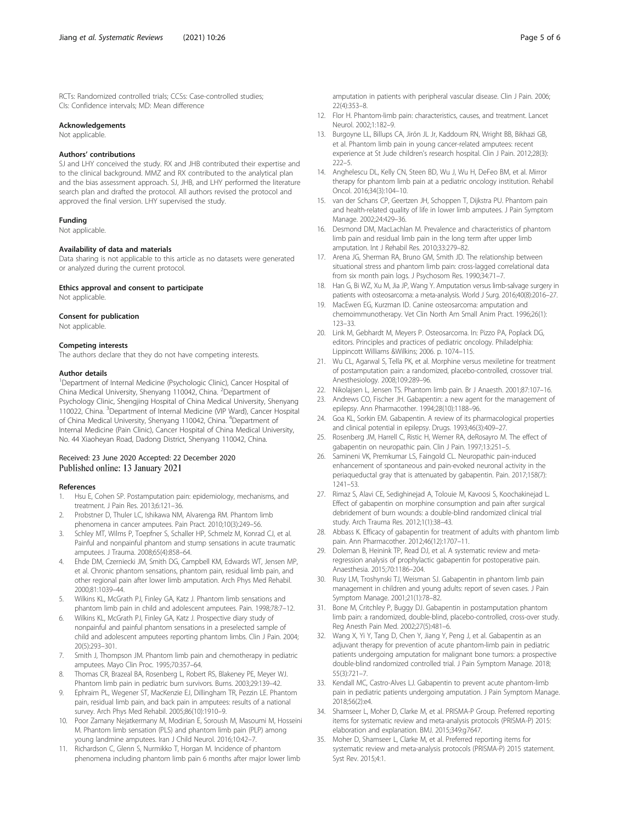<span id="page-4-0"></span>RCTs: Randomized controlled trials; CCSs: Case-controlled studies; CIs: Confidence intervals; MD: Mean difference

#### Acknowledgements

Not applicable.

#### Authors' contributions

SJ and LHY conceived the study. RX and JHB contributed their expertise and to the clinical background. MMZ and RX contributed to the analytical plan and the bias assessment approach. SJ, JHB, and LHY performed the literature search plan and drafted the protocol. All authors revised the protocol and approved the final version. LHY supervised the study.

#### Funding

Not applicable.

#### Availability of data and materials

Data sharing is not applicable to this article as no datasets were generated or analyzed during the current protocol.

#### Ethics approval and consent to participate

Not applicable.

#### Consent for publication

Not applicable.

#### Competing interests

The authors declare that they do not have competing interests.

#### Author details

<sup>1</sup>Department of Internal Medicine (Psychologic Clinic), Cancer Hospital of China Medical University, Shenyang 110042, China. <sup>2</sup>Department of Psychology Clinic, Shengjing Hospital of China Medical University, Shenyang 110022, China. <sup>3</sup>Department of Internal Medicine (VIP Ward), Cancer Hospital of China Medical University, Shenyang 110042, China. <sup>4</sup>Department of Internal Medicine (Pain Clinic), Cancer Hospital of China Medical University, No. 44 Xiaoheyan Road, Dadong District, Shenyang 110042, China.

#### Received: 23 June 2020 Accepted: 22 December 2020 Published online: 13 January 2021

#### References

- 1. Hsu E, Cohen SP. Postamputation pain: epidemiology, mechanisms, and treatment. J Pain Res. 2013;6:121–36.
- 2. Probstner D, Thuler LC, Ishikawa NM, Alvarenga RM. Phantom limb phenomena in cancer amputees. Pain Pract. 2010;10(3):249–56.
- 3. Schley MT, Wilms P, Toepfner S, Schaller HP, Schmelz M, Konrad CJ, et al. Painful and nonpainful phantom and stump sensations in acute traumatic amputees. J Trauma. 2008;65(4):858–64.
- 4. Ehde DM, Czerniecki JM, Smith DG, Campbell KM, Edwards WT, Jensen MP, et al. Chronic phantom sensations, phantom pain, residual limb pain, and other regional pain after lower limb amputation. Arch Phys Med Rehabil. 2000;81:1039–44.
- 5. Wilkins KL, McGrath PJ, Finley GA, Katz J. Phantom limb sensations and phantom limb pain in child and adolescent amputees. Pain. 1998;78:7–12.
- 6. Wilkins KL, McGrath PJ, Finley GA, Katz J. Prospective diary study of nonpainful and painful phantom sensations in a preselected sample of child and adolescent amputees reporting phantom limbs. Clin J Pain. 2004; 20(5):293–301.
- 7. Smith J, Thompson JM. Phantom limb pain and chemotherapy in pediatric amputees. Mayo Clin Proc. 1995;70:357–64.
- Thomas CR, Brazeal BA, Rosenberg L, Robert RS, Blakeney PE, Meyer WJ. Phantom limb pain in pediatric burn survivors. Burns. 2003;29:139–42.
- 9. Ephraim PL, Wegener ST, MacKenzie EJ, Dillingham TR, Pezzin LE. Phantom pain, residual limb pain, and back pain in amputees: results of a national survey. Arch Phys Med Rehabil. 2005;86(10):1910–9.
- 10. Poor Zamany Nejatkermany M, Modirian E, Soroush M, Masoumi M, Hosseini M. Phantom limb sensation (PLS) and phantom limb pain (PLP) among young landmine amputees. Iran J Child Neurol. 2016;10:42–7.
- 11. Richardson C, Glenn S, Nurmikko T, Horgan M. Incidence of phantom phenomena including phantom limb pain 6 months after major lower limb
- 12. Flor H. Phantom-limb pain: characteristics, causes, and treatment. Lancet Neurol. 2002;1:182–9.
- 13. Burgoyne LL, Billups CA, Jirón JL Jr, Kaddoum RN, Wright BB, Bikhazi GB, et al. Phantom limb pain in young cancer-related amputees: recent experience at St Jude children's research hospital. Clin J Pain. 2012;28(3):  $222 - 5$
- 14. Anghelescu DL, Kelly CN, Steen BD, Wu J, Wu H, DeFeo BM, et al. Mirror therapy for phantom limb pain at a pediatric oncology institution. Rehabil Oncol. 2016;34(3):104–10.
- 15. van der Schans CP, Geertzen JH, Schoppen T, Dijkstra PU. Phantom pain and health-related quality of life in lower limb amputees. J Pain Symptom Manage. 2002;24:429–36.
- 16. Desmond DM, MacLachlan M. Prevalence and characteristics of phantom limb pain and residual limb pain in the long term after upper limb amputation. Int J Rehabil Res. 2010;33:279–82.
- 17. Arena JG, Sherman RA, Bruno GM, Smith JD. The relationship between situational stress and phantom limb pain: cross-lagged correlational data from six month pain logs. J Psychosom Res. 1990;34:71–7.
- 18. Han G, Bi WZ, Xu M, Jia JP, Wang Y. Amputation versus limb-salvage surgery in patients with osteosarcoma: a meta-analysis. World J Surg. 2016;40(8):2016–27.
- 19. MacEwen EG, Kurzman ID. Canine osteosarcoma: amputation and chemoimmunotherapy. Vet Clin North Am Small Anim Pract. 1996;26(1): 123–33.
- 20. Link M, Gebhardt M, Meyers P. Osteosarcoma. In: Pizzo PA, Poplack DG, editors. Principles and practices of pediatric oncology. Philadelphia: Lippincott Williams &Wilkins; 2006. p. 1074–115.
- 21. Wu CL, Agarwal S, Tella PK, et al. Morphine versus mexiletine for treatment of postamputation pain: a randomized, placebo-controlled, crossover trial. Anesthesiology. 2008;109:289–96.
- 22. Nikolajsen L, Jensen TS. Phantom limb pain. Br J Anaesth. 2001;87:107–16.
- 23. Andrews CO, Fischer JH. Gabapentin: a new agent for the management of epilepsy. Ann Pharmacother. 1994;28(10):1188–96.
- 24. Goa KL, Sorkin EM. Gabapentin. A review of its pharmacological properties and clinical potential in epilepsy. Drugs. 1993;46(3):409–27.
- 25. Rosenberg JM, Harrell C, Ristic H, Werner RA, deRosayro M. The effect of gabapentin on neuropathic pain. Clin J Pain. 1997;13:251–5.
- 26. Samineni VK, Premkumar LS, Faingold CL. Neuropathic pain-induced enhancement of spontaneous and pain-evoked neuronal activity in the periaqueductal gray that is attenuated by gabapentin. Pain. 2017;158(7): 1241–53.
- 27. Rimaz S, Alavi CE, Sedighinejad A, Tolouie M, Kavoosi S, Koochakinejad L. Effect of gabapentin on morphine consumption and pain after surgical debridement of burn wounds: a double-blind randomized clinical trial study. Arch Trauma Res. 2012;1(1):38–43.
- 28. Abbass K. Efficacy of gabapentin for treatment of adults with phantom limb pain. Ann Pharmacother. 2012;46(12):1707–11.
- 29. Doleman B, Heinink TP, Read DJ, et al. A systematic review and metaregression analysis of prophylactic gabapentin for postoperative pain. Anaesthesia. 2015;70:1186–204.
- 30. Rusy LM, Troshynski TJ, Weisman SJ. Gabapentin in phantom limb pain management in children and young adults: report of seven cases. J Pain Symptom Manage. 2001;21(1):78–82.
- 31. Bone M, Critchley P, Buggy DJ. Gabapentin in postamputation phantom limb pain: a randomized, double-blind, placebo-controlled, cross-over study. Reg Anesth Pain Med. 2002;27(5):481–6.
- 32. Wang X, Yi Y, Tang D, Chen Y, Jiang Y, Peng J, et al. Gabapentin as an adjuvant therapy for prevention of acute phantom-limb pain in pediatric patients undergoing amputation for malignant bone tumors: a prospective double-blind randomized controlled trial. J Pain Symptom Manage. 2018; 55(3):721–7.
- 33. Kendall MC, Castro-Alves LJ. Gabapentin to prevent acute phantom-limb pain in pediatric patients undergoing amputation. J Pain Symptom Manage. 2018;56(2):e4.
- 34. Shamseer L, Moher D, Clarke M, et al. PRISMA-P Group. Preferred reporting items for systematic review and meta-analysis protocols (PRISMA-P) 2015: elaboration and explanation. BMJ. 2015;349:g7647.
- 35. Moher D, Shamseer L, Clarke M, et al. Preferred reporting items for systematic review and meta-analysis protocols (PRISMA-P) 2015 statement. Syst Rev. 2015;4:1.